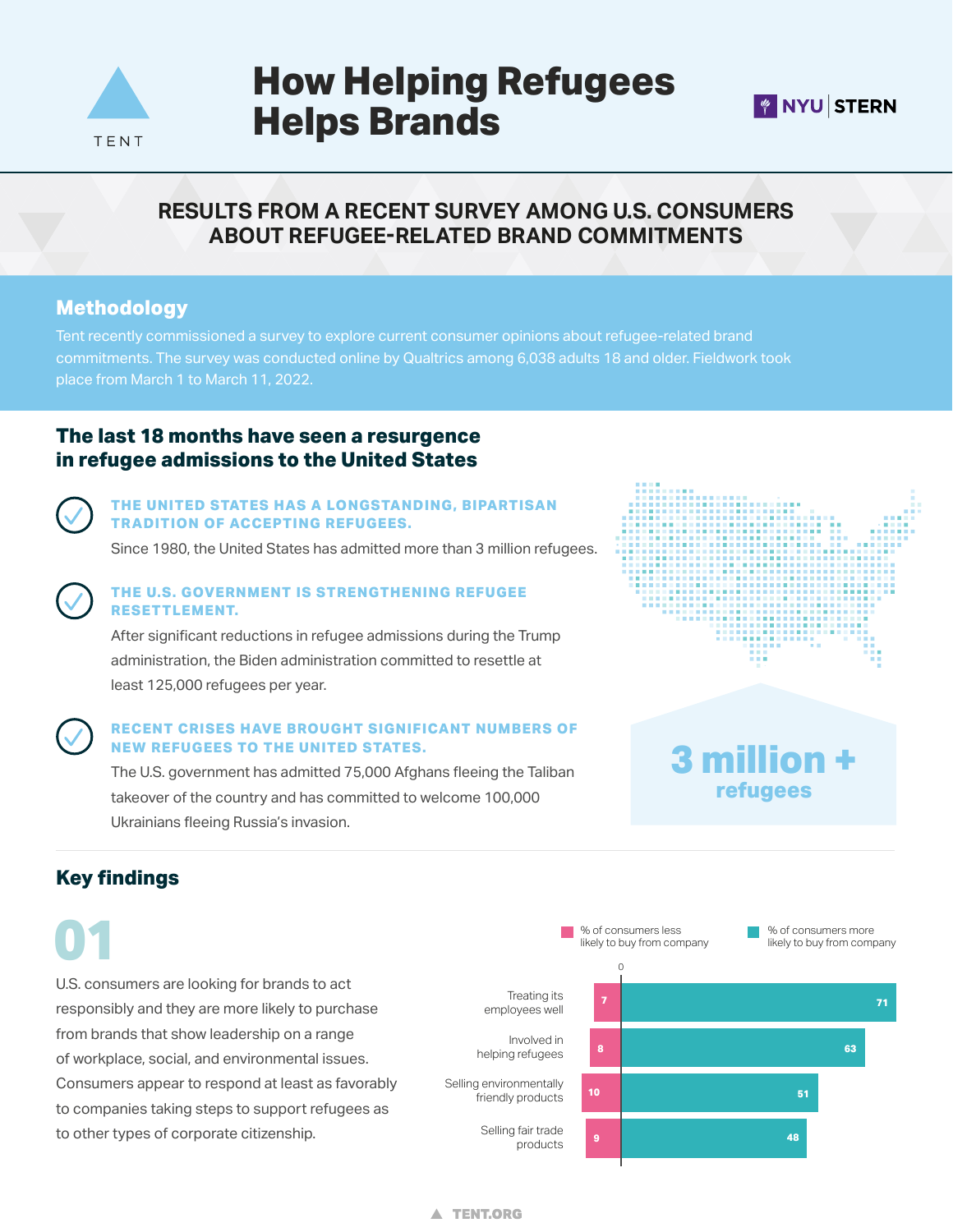

# **How Helping Refugees Helps Brands**



# **RESULTS FROM A RECENT SURVEY AMONG U.S. CONSUMERS ABOUT REFUGEE-RELATED BRAND COMMITMENTS**

## **Methodology**

Tent recently commissioned a survey to explore current consumer opinions about refugee-related brand commitments. The survey was conducted online by Qualtrics among 6,038 adults 18 and older. Fieldwork took place from March 1 to March 11, 2022.

## **The last 18 months have seen a resurgence in refugee admissions to the United States**



#### **THE UNITED STATES HAS A LONGSTANDING, BIPARTISAN TRADITION OF ACCEPTING REFUGEES.**

Since 1980, the United States has admitted more than 3 million refugees.



#### **THE U.S. GOVERNMENT IS STRENGTHENING REFUGEE RESETTLEMENT.**

After significant reductions in refugee admissions during the Trump administration, the Biden administration committed to resettle at least 125,000 refugees per year.

#### **RECENT CRISES HAVE BROUGHT SIGNIFICANT NUMBERS OF NEW REFUGEES TO THE UNITED STATES.**

The U.S. government has admitted 75,000 Afghans fleeing the Taliban takeover of the country and has committed to welcome 100,000 Ukrainians fleeing Russia's invasion.



# **3 million + refugees**

# **Key findings**

U.S. consumers are looking for brands to act responsibly and they are more likely to purchase from brands that show leadership on a range of workplace, social, and environmental issues. Consumers appear to respond at least as favorably to companies taking steps to support refugees as to other types of corporate citizenship. **01**